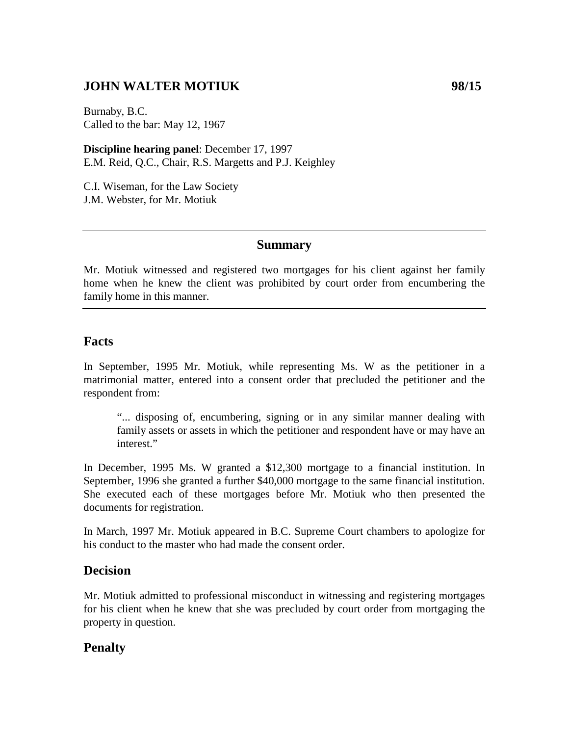# **JOHN WALTER MOTIUK 98/15**

Burnaby, B.C. Called to the bar: May 12, 1967

**Discipline hearing panel**: December 17, 1997 E.M. Reid, Q.C., Chair, R.S. Margetts and P.J. Keighley

C.I. Wiseman, for the Law Society J.M. Webster, for Mr. Motiuk

### **Summary**

Mr. Motiuk witnessed and registered two mortgages for his client against her family home when he knew the client was prohibited by court order from encumbering the family home in this manner.

## **Facts**

In September, 1995 Mr. Motiuk, while representing Ms. W as the petitioner in a matrimonial matter, entered into a consent order that precluded the petitioner and the respondent from:

"... disposing of, encumbering, signing or in any similar manner dealing with family assets or assets in which the petitioner and respondent have or may have an interest."

In December, 1995 Ms. W granted a \$12,300 mortgage to a financial institution. In September, 1996 she granted a further \$40,000 mortgage to the same financial institution. She executed each of these mortgages before Mr. Motiuk who then presented the documents for registration.

In March, 1997 Mr. Motiuk appeared in B.C. Supreme Court chambers to apologize for his conduct to the master who had made the consent order.

## **Decision**

Mr. Motiuk admitted to professional misconduct in witnessing and registering mortgages for his client when he knew that she was precluded by court order from mortgaging the property in question.

## **Penalty**